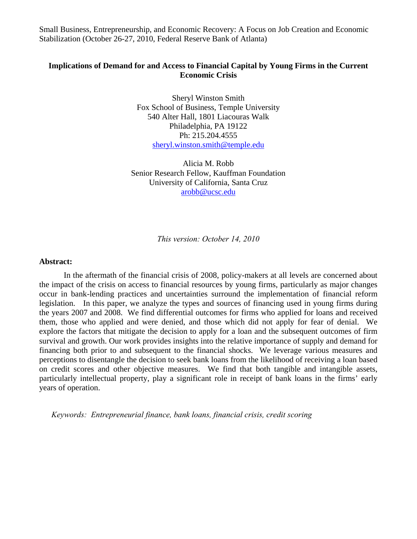Small Business, Entrepreneurship, and Economic Recovery: A Focus on Job Creation and Economic Stabilization (October 26-27, 2010, Federal Reserve Bank of Atlanta)

# **Implications of Demand for and Access to Financial Capital by Young Firms in the Current Economic Crisis**

Sheryl Winston Smith Fox School of Business, Temple University 540 Alter Hall, 1801 Liacouras Walk Philadelphia, PA 19122 Ph: 215.204.4555 [sheryl.winston.smith@temple.edu](mailto:sheryl.winston.smith@temple.edu)

Alicia M. Robb Senior Research Fellow, Kauffman Foundation University of California, Santa Cruz [arobb@ucsc.edu](mailto:arobb@ucsc.edu)

*This version: October 14, 2010* 

## **Abstract:**

 In the aftermath of the financial crisis of 2008, policy-makers at all levels are concerned about the impact of the crisis on access to financial resources by young firms, particularly as major changes occur in bank-lending practices and uncertainties surround the implementation of financial reform legislation. In this paper, we analyze the types and sources of financing used in young firms during the years 2007 and 2008. We find differential outcomes for firms who applied for loans and received them, those who applied and were denied, and those which did not apply for fear of denial. We explore the factors that mitigate the decision to apply for a loan and the subsequent outcomes of firm survival and growth. Our work provides insights into the relative importance of supply and demand for financing both prior to and subsequent to the financial shocks. We leverage various measures and perceptions to disentangle the decision to seek bank loans from the likelihood of receiving a loan based on credit scores and other objective measures. We find that both tangible and intangible assets, particularly intellectual property, play a significant role in receipt of bank loans in the firms' early years of operation.

*Keywords: Entrepreneurial finance, bank loans, financial crisis, credit scoring*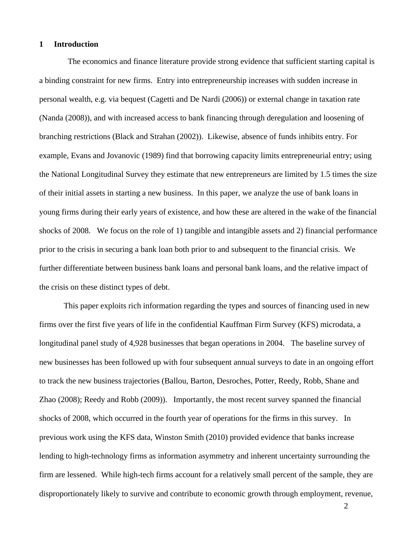## **1 Introduction**

 The economics and finance literature provide strong evidence that sufficient starting capital is a binding constraint for new firms. Entry into entrepreneurship increases with sudden increase in personal wealth, e.g. via bequest (Cagetti and De Nardi (2006)) or external change in taxation rate (Nanda (2008)), and with increased access to bank financing through deregulation and loosening of branching restrictions (Black and Strahan (2002)). Likewise, absence of funds inhibits entry. For example, Evans and Jovanovic (1989) find that borrowing capacity limits entrepreneurial entry; using the National Longitudinal Survey they estimate that new entrepreneurs are limited by 1.5 times the size of their initial assets in starting a new business. In this paper, we analyze the use of bank loans in young firms during their early years of existence, and how these are altered in the wake of the financial shocks of 2008. We focus on the role of 1) tangible and intangible assets and 2) financial performance prior to the crisis in securing a bank loan both prior to and subsequent to the financial crisis. We further differentiate between business bank loans and personal bank loans, and the relative impact of the crisis on these distinct types of debt.

This paper exploits rich information regarding the types and sources of financing used in new firms over the first five years of life in the confidential Kauffman Firm Survey (KFS) microdata, a longitudinal panel study of 4,928 businesses that began operations in 2004. The baseline survey of new businesses has been followed up with four subsequent annual surveys to date in an ongoing effort to track the new business trajectories (Ballou, Barton, Desroches, Potter, Reedy, Robb, Shane and Zhao (2008); Reedy and Robb (2009)). Importantly, the most recent survey spanned the financial shocks of 2008, which occurred in the fourth year of operations for the firms in this survey. In previous work using the KFS data, Winston Smith (2010) provided evidence that banks increase lending to high-technology firms as information asymmetry and inherent uncertainty surrounding the firm are lessened. While high-tech firms account for a relatively small percent of the sample, they are disproportionately likely to survive and contribute to economic growth through employment, revenue,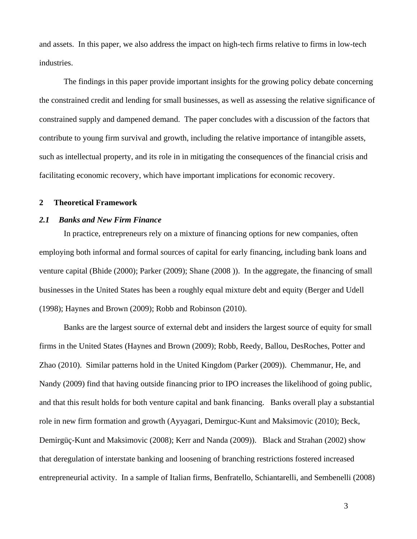and assets. In this paper, we also address the impact on high-tech firms relative to firms in low-tech industries.

The findings in this paper provide important insights for the growing policy debate concerning the constrained credit and lending for small businesses, as well as assessing the relative significance of constrained supply and dampened demand. The paper concludes with a discussion of the factors that contribute to young firm survival and growth, including the relative importance of intangible assets, such as intellectual property, and its role in in mitigating the consequences of the financial crisis and facilitating economic recovery, which have important implications for economic recovery.

## **2 Theoretical Framework**

## *2.1 Banks and New Firm Finance*

In practice, entrepreneurs rely on a mixture of financing options for new companies, often employing both informal and formal sources of capital for early financing, including bank loans and venture capital (Bhide (2000); Parker (2009); Shane (2008 )). In the aggregate, the financing of small businesses in the United States has been a roughly equal mixture debt and equity (Berger and Udell (1998); Haynes and Brown (2009); Robb and Robinson (2010).

Banks are the largest source of external debt and insiders the largest source of equity for small firms in the United States (Haynes and Brown (2009); Robb, Reedy, Ballou, DesRoches, Potter and Zhao (2010). Similar patterns hold in the United Kingdom (Parker (2009)). Chemmanur, He, and Nandy (2009) find that having outside financing prior to IPO increases the likelihood of going public, and that this result holds for both venture capital and bank financing. Banks overall play a substantial role in new firm formation and growth (Ayyagari, Demirguc-Kunt and Maksimovic (2010); Beck, Demirgüç-Kunt and Maksimovic (2008); Kerr and Nanda (2009)). Black and Strahan (2002) show that deregulation of interstate banking and loosening of branching restrictions fostered increased entrepreneurial activity. In a sample of Italian firms, Benfratello, Schiantarelli, and Sembenelli (2008)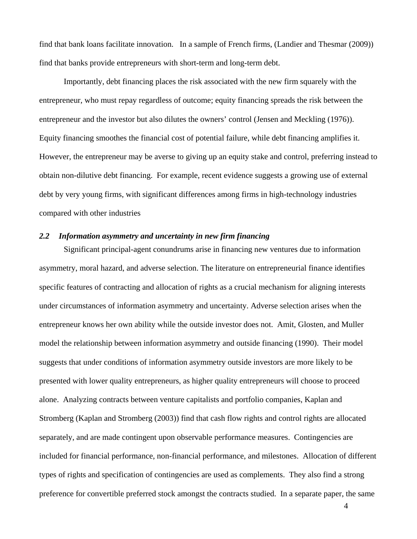find that bank loans facilitate innovation. In a sample of French firms, (Landier and Thesmar (2009)) find that banks provide entrepreneurs with short-term and long-term debt.

Importantly, debt financing places the risk associated with the new firm squarely with the entrepreneur, who must repay regardless of outcome; equity financing spreads the risk between the entrepreneur and the investor but also dilutes the owners' control (Jensen and Meckling (1976)). Equity financing smoothes the financial cost of potential failure, while debt financing amplifies it. However, the entrepreneur may be averse to giving up an equity stake and control, preferring instead to obtain non-dilutive debt financing. For example, recent evidence suggests a growing use of external debt by very young firms, with significant differences among firms in high-technology industries compared with other industries

# *2.2 Information asymmetry and uncertainty in new firm financing*

Significant principal-agent conundrums arise in financing new ventures due to information asymmetry, moral hazard, and adverse selection. The literature on entrepreneurial finance identifies specific features of contracting and allocation of rights as a crucial mechanism for aligning interests under circumstances of information asymmetry and uncertainty. Adverse selection arises when the entrepreneur knows her own ability while the outside investor does not. Amit, Glosten, and Muller model the relationship between information asymmetry and outside financing (1990). Their model suggests that under conditions of information asymmetry outside investors are more likely to be presented with lower quality entrepreneurs, as higher quality entrepreneurs will choose to proceed alone. Analyzing contracts between venture capitalists and portfolio companies, Kaplan and Stromberg (Kaplan and Stromberg (2003)) find that cash flow rights and control rights are allocated separately, and are made contingent upon observable performance measures. Contingencies are included for financial performance, non-financial performance, and milestones. Allocation of different types of rights and specification of contingencies are used as complements. They also find a strong preference for convertible preferred stock amongst the contracts studied. In a separate paper, the same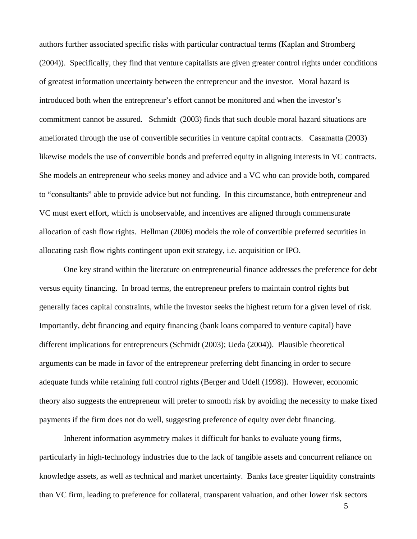authors further associated specific risks with particular contractual terms (Kaplan and Stromberg (2004)). Specifically, they find that venture capitalists are given greater control rights under conditions of greatest information uncertainty between the entrepreneur and the investor. Moral hazard is introduced both when the entrepreneur's effort cannot be monitored and when the investor's commitment cannot be assured. Schmidt (2003) finds that such double moral hazard situations are ameliorated through the use of convertible securities in venture capital contracts. Casamatta (2003) likewise models the use of convertible bonds and preferred equity in aligning interests in VC contracts. She models an entrepreneur who seeks money and advice and a VC who can provide both, compared to "consultants" able to provide advice but not funding. In this circumstance, both entrepreneur and VC must exert effort, which is unobservable, and incentives are aligned through commensurate allocation of cash flow rights. Hellman (2006) models the role of convertible preferred securities in allocating cash flow rights contingent upon exit strategy, i.e. acquisition or IPO.

One key strand within the literature on entrepreneurial finance addresses the preference for debt versus equity financing. In broad terms, the entrepreneur prefers to maintain control rights but generally faces capital constraints, while the investor seeks the highest return for a given level of risk. Importantly, debt financing and equity financing (bank loans compared to venture capital) have different implications for entrepreneurs (Schmidt (2003); Ueda (2004)). Plausible theoretical arguments can be made in favor of the entrepreneur preferring debt financing in order to secure adequate funds while retaining full control rights (Berger and Udell (1998)). However, economic theory also suggests the entrepreneur will prefer to smooth risk by avoiding the necessity to make fixed payments if the firm does not do well, suggesting preference of equity over debt financing.

Inherent information asymmetry makes it difficult for banks to evaluate young firms, particularly in high-technology industries due to the lack of tangible assets and concurrent reliance on knowledge assets, as well as technical and market uncertainty. Banks face greater liquidity constraints than VC firm, leading to preference for collateral, transparent valuation, and other lower risk sectors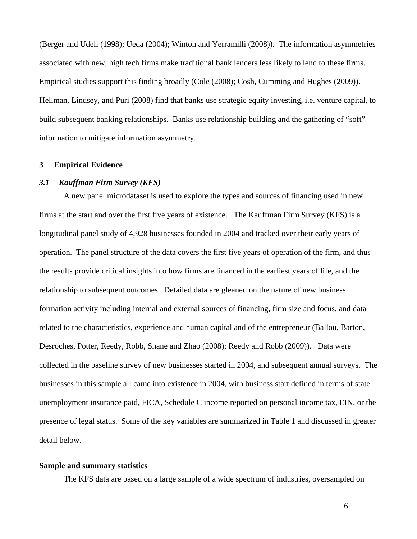(Berger and Udell (1998); Ueda (2004); Winton and Yerramilli (2008)). The information asymmetries associated with new, high tech firms make traditional bank lenders less likely to lend to these firms. Empirical studies support this finding broadly (Cole (2008); Cosh, Cumming and Hughes (2009)). Hellman, Lindsey, and Puri (2008) find that banks use strategic equity investing, i.e. venture capital, to build subsequent banking relationships. Banks use relationship building and the gathering of "soft" information to mitigate information asymmetry.

## **3 Empirical Evidence**

## *3.1 Kauffman Firm Survey (KFS)*

A new panel microdataset is used to explore the types and sources of financing used in new firms at the start and over the first five years of existence. The Kauffman Firm Survey (KFS) is a longitudinal panel study of 4,928 businesses founded in 2004 and tracked over their early years of operation. The panel structure of the data covers the first five years of operation of the firm, and thus the results provide critical insights into how firms are financed in the earliest years of life, and the relationship to subsequent outcomes. Detailed data are gleaned on the nature of new business formation activity including internal and external sources of financing, firm size and focus, and data related to the characteristics, experience and human capital and of the entrepreneur (Ballou, Barton, Desroches, Potter, Reedy, Robb, Shane and Zhao (2008); Reedy and Robb (2009)). Data were collected in the baseline survey of new businesses started in 2004, and subsequent annual surveys. The businesses in this sample all came into existence in 2004, with business start defined in terms of state unemployment insurance paid, FICA, Schedule C income reported on personal income tax, EIN, or the presence of legal status. Some of the key variables are summarized in Table 1 and discussed in greater detail below.

#### **Sample and summary statistics**

The KFS data are based on a large sample of a wide spectrum of industries, oversampled on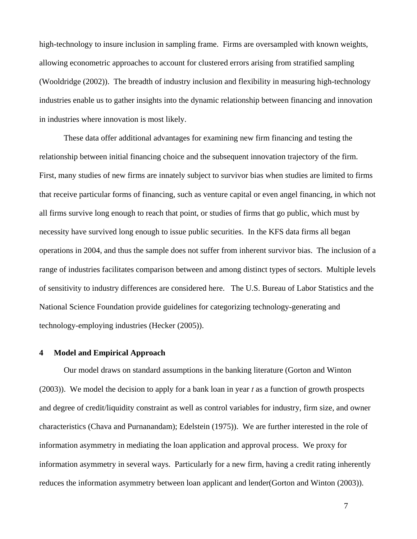high-technology to insure inclusion in sampling frame. Firms are oversampled with known weights, allowing econometric approaches to account for clustered errors arising from stratified sampling (Wooldridge (2002)). The breadth of industry inclusion and flexibility in measuring high-technology industries enable us to gather insights into the dynamic relationship between financing and innovation in industries where innovation is most likely.

These data offer additional advantages for examining new firm financing and testing the relationship between initial financing choice and the subsequent innovation trajectory of the firm. First, many studies of new firms are innately subject to survivor bias when studies are limited to firms that receive particular forms of financing, such as venture capital or even angel financing, in which not all firms survive long enough to reach that point, or studies of firms that go public, which must by necessity have survived long enough to issue public securities. In the KFS data firms all began operations in 2004, and thus the sample does not suffer from inherent survivor bias. The inclusion of a range of industries facilitates comparison between and among distinct types of sectors. Multiple levels of sensitivity to industry differences are considered here. The U.S. Bureau of Labor Statistics and the National Science Foundation provide guidelines for categorizing technology-generating and technology-employing industries (Hecker (2005)).

# **4 Model and Empirical Approach**

Our model draws on standard assumptions in the banking literature (Gorton and Winton (2003)). We model the decision to apply for a bank loan in year *t* as a function of growth prospects and degree of credit/liquidity constraint as well as control variables for industry, firm size, and owner characteristics (Chava and Purnanandam); Edelstein (1975)). We are further interested in the role of information asymmetry in mediating the loan application and approval process. We proxy for information asymmetry in several ways. Particularly for a new firm, having a credit rating inherently reduces the information asymmetry between loan applicant and lender(Gorton and Winton (2003)).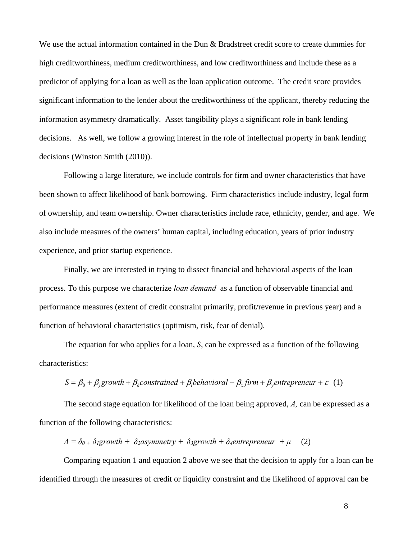We use the actual information contained in the Dun & Bradstreet credit score to create dummies for high creditworthiness, medium creditworthiness, and low creditworthiness and include these as a predictor of applying for a loan as well as the loan application outcome. The credit score provides significant information to the lender about the creditworthiness of the applicant, thereby reducing the information asymmetry dramatically. Asset tangibility plays a significant role in bank lending decisions. As well, we follow a growing interest in the role of intellectual property in bank lending decisions (Winston Smith (2010)).

Following a large literature, we include controls for firm and owner characteristics that have been shown to affect likelihood of bank borrowing. Firm characteristics include industry, legal form of ownership, and team ownership. Owner characteristics include race, ethnicity, gender, and age. We also include measures of the owners' human capital, including education, years of prior industry experience, and prior startup experience.

Finally, we are interested in trying to dissect financial and behavioral aspects of the loan process. To this purpose we characterize *loan demand* as a function of observable financial and performance measures (extent of credit constraint primarily, profit/revenue in previous year) and a function of behavioral characteristics (optimism, risk, fear of denial).

The equation for who applies for a loan, *S*, can be expressed as a function of the following characteristics:

$$
S = \beta_0 + \beta_j \text{growth} + \beta_k \text{constrained} + \beta_l \text{behavioral} + \beta_x \text{firm} + \beta_y \text{entrepresentation} + \varepsilon \tag{1}
$$

The second stage equation for likelihood of the loan being approved, *A,* can be expressed as a function of the following characteristics:

$$
A = \delta_{0+} \delta_{1} growth + \delta_{2} asymmetry + \delta_{3} growth + \delta_{4} antrepreneur + \mu \quad (2)
$$

Comparing equation 1 and equation 2 above we see that the decision to apply for a loan can be identified through the measures of credit or liquidity constraint and the likelihood of approval can be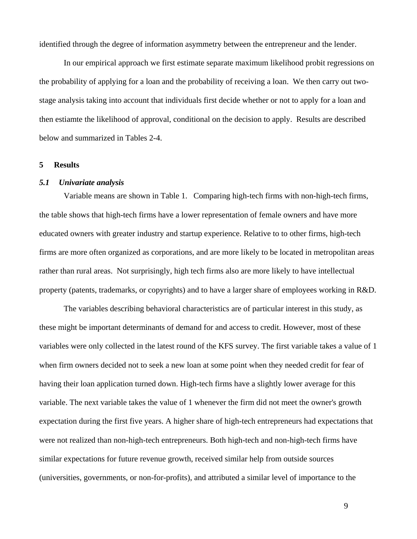identified through the degree of information asymmetry between the entrepreneur and the lender.

In our empirical approach we first estimate separate maximum likelihood probit regressions on the probability of applying for a loan and the probability of receiving a loan. We then carry out twostage analysis taking into account that individuals first decide whether or not to apply for a loan and then estiamte the likelihood of approval, conditional on the decision to apply. Results are described below and summarized in Tables 2-4.

# **5 Results**

### *5.1 Univariate analysis*

Variable means are shown in Table 1. Comparing high-tech firms with non-high-tech firms, the table shows that high-tech firms have a lower representation of female owners and have more educated owners with greater industry and startup experience. Relative to to other firms, high-tech firms are more often organized as corporations, and are more likely to be located in metropolitan areas rather than rural areas. Not surprisingly, high tech firms also are more likely to have intellectual property (patents, trademarks, or copyrights) and to have a larger share of employees working in R&D.

The variables describing behavioral characteristics are of particular interest in this study, as these might be important determinants of demand for and access to credit. However, most of these variables were only collected in the latest round of the KFS survey. The first variable takes a value of 1 when firm owners decided not to seek a new loan at some point when they needed credit for fear of having their loan application turned down. High-tech firms have a slightly lower average for this variable. The next variable takes the value of 1 whenever the firm did not meet the owner's growth expectation during the first five years. A higher share of high-tech entrepreneurs had expectations that were not realized than non-high-tech entrepreneurs. Both high-tech and non-high-tech firms have similar expectations for future revenue growth, received similar help from outside sources (universities, governments, or non-for-profits), and attributed a similar level of importance to the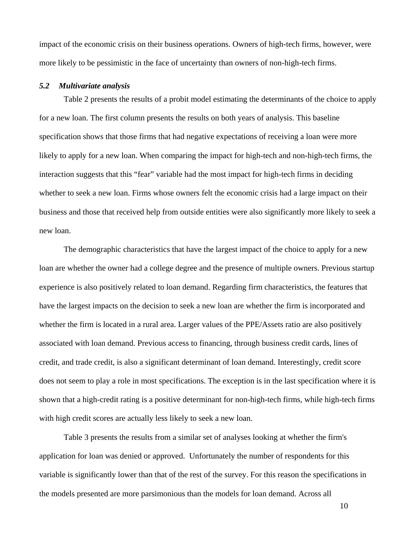impact of the economic crisis on their business operations. Owners of high-tech firms, however, were more likely to be pessimistic in the face of uncertainty than owners of non-high-tech firms.

#### *5.2 Multivariate analysis*

Table 2 presents the results of a probit model estimating the determinants of the choice to apply for a new loan. The first column presents the results on both years of analysis. This baseline specification shows that those firms that had negative expectations of receiving a loan were more likely to apply for a new loan. When comparing the impact for high-tech and non-high-tech firms, the interaction suggests that this "fear" variable had the most impact for high-tech firms in deciding whether to seek a new loan. Firms whose owners felt the economic crisis had a large impact on their business and those that received help from outside entities were also significantly more likely to seek a new loan.

The demographic characteristics that have the largest impact of the choice to apply for a new loan are whether the owner had a college degree and the presence of multiple owners. Previous startup experience is also positively related to loan demand. Regarding firm characteristics, the features that have the largest impacts on the decision to seek a new loan are whether the firm is incorporated and whether the firm is located in a rural area. Larger values of the PPE/Assets ratio are also positively associated with loan demand. Previous access to financing, through business credit cards, lines of credit, and trade credit, is also a significant determinant of loan demand. Interestingly, credit score does not seem to play a role in most specifications. The exception is in the last specification where it is shown that a high-credit rating is a positive determinant for non-high-tech firms, while high-tech firms with high credit scores are actually less likely to seek a new loan.

Table 3 presents the results from a similar set of analyses looking at whether the firm's application for loan was denied or approved. Unfortunately the number of respondents for this variable is significantly lower than that of the rest of the survey. For this reason the specifications in the models presented are more parsimonious than the models for loan demand. Across all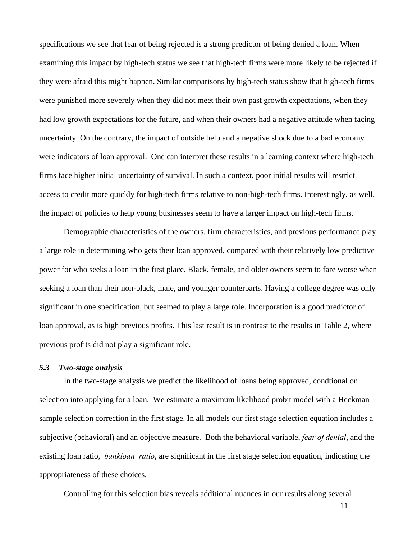specifications we see that fear of being rejected is a strong predictor of being denied a loan. When examining this impact by high-tech status we see that high-tech firms were more likely to be rejected if they were afraid this might happen. Similar comparisons by high-tech status show that high-tech firms were punished more severely when they did not meet their own past growth expectations, when they had low growth expectations for the future, and when their owners had a negative attitude when facing uncertainty. On the contrary, the impact of outside help and a negative shock due to a bad economy were indicators of loan approval. One can interpret these results in a learning context where high-tech firms face higher initial uncertainty of survival. In such a context, poor initial results will restrict access to credit more quickly for high-tech firms relative to non-high-tech firms. Interestingly, as well, the impact of policies to help young businesses seem to have a larger impact on high-tech firms.

Demographic characteristics of the owners, firm characteristics, and previous performance play a large role in determining who gets their loan approved, compared with their relatively low predictive power for who seeks a loan in the first place. Black, female, and older owners seem to fare worse when seeking a loan than their non-black, male, and younger counterparts. Having a college degree was only significant in one specification, but seemed to play a large role. Incorporation is a good predictor of loan approval, as is high previous profits. This last result is in contrast to the results in Table 2, where previous profits did not play a significant role.

### *5.3 Two-stage analysis*

In the two-stage analysis we predict the likelihood of loans being approved, condtional on selection into applying for a loan. We estimate a maximum likelihood probit model with a Heckman sample selection correction in the first stage. In all models our first stage selection equation includes a subjective (behavioral) and an objective measure. Both the behavioral variable, *fear of denial*, and the existing loan ratio, *bankloan ratio*, are significant in the first stage selection equation, indicating the appropriateness of these choices.

Controlling for this selection bias reveals additional nuances in our results along several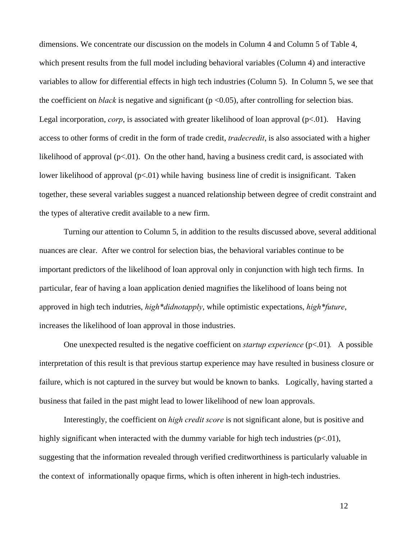dimensions. We concentrate our discussion on the models in Column 4 and Column 5 of Table 4, which present results from the full model including behavioral variables (Column 4) and interactive variables to allow for differential effects in high tech industries (Column 5). In Column 5, we see that the coefficient on *black* is negative and significant ( $p < 0.05$ ), after controlling for selection bias. Legal incorporation, *corp*, is associated with greater likelihood of loan approval (p<.01). Having access to other forms of credit in the form of trade credit, *tradecredit*, is also associated with a higher likelihood of approval  $(p<0.01)$ . On the other hand, having a business credit card, is associated with lower likelihood of approval  $(p<.01)$  while having business line of credit is insignificant. Taken together, these several variables suggest a nuanced relationship between degree of credit constraint and the types of alterative credit available to a new firm.

Turning our attention to Column 5, in addition to the results discussed above, several additional nuances are clear. After we control for selection bias, the behavioral variables continue to be important predictors of the likelihood of loan approval only in conjunction with high tech firms. In particular, fear of having a loan application denied magnifies the likelihood of loans being not approved in high tech indutries, *high\*didnotapply*, while optimistic expectations, *high\*future*, increases the likelihood of loan approval in those industries.

One unexpected resulted is the negative coefficient on *startup experience* (p<.01)*.* A possible interpretation of this result is that previous startup experience may have resulted in business closure or failure, which is not captured in the survey but would be known to banks. Logically, having started a business that failed in the past might lead to lower likelihood of new loan approvals.

Interestingly, the coefficient on *high credit score* is not significant alone, but is positive and highly significant when interacted with the dummy variable for high tech industries ( $p<0.01$ ), suggesting that the information revealed through verified creditworthiness is particularly valuable in the context of informationally opaque firms, which is often inherent in high-tech industries.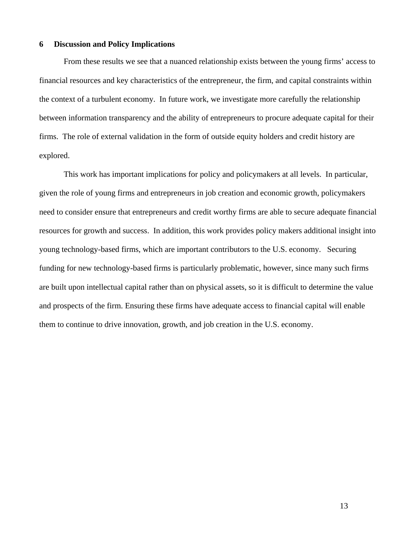## **6 Discussion and Policy Implications**

From these results we see that a nuanced relationship exists between the young firms' access to financial resources and key characteristics of the entrepreneur, the firm, and capital constraints within the context of a turbulent economy. In future work, we investigate more carefully the relationship between information transparency and the ability of entrepreneurs to procure adequate capital for their firms. The role of external validation in the form of outside equity holders and credit history are explored.

This work has important implications for policy and policymakers at all levels. In particular, given the role of young firms and entrepreneurs in job creation and economic growth, policymakers need to consider ensure that entrepreneurs and credit worthy firms are able to secure adequate financial resources for growth and success. In addition, this work provides policy makers additional insight into young technology-based firms, which are important contributors to the U.S. economy. Securing funding for new technology-based firms is particularly problematic, however, since many such firms are built upon intellectual capital rather than on physical assets, so it is difficult to determine the value and prospects of the firm. Ensuring these firms have adequate access to financial capital will enable them to continue to drive innovation, growth, and job creation in the U.S. economy.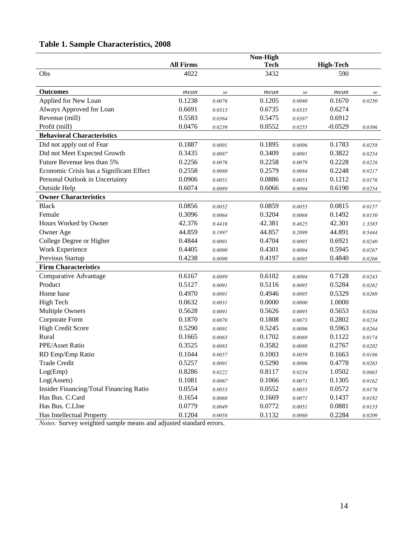|                                          |                  |            | Non-High    |            |                  |            |
|------------------------------------------|------------------|------------|-------------|------------|------------------|------------|
|                                          | <b>All Firms</b> |            | <b>Tech</b> |            | <b>High-Tech</b> |            |
| Obs                                      | 4022             |            | 3432        |            | 590              |            |
|                                          |                  |            |             |            |                  |            |
| <b>Outcomes</b>                          | mean             | se         | mean        | se         | mean             | se         |
| Applied for New Loan                     | 0.1238           | 0.0076     | 0.1205      | 0.0080     | 0.1670           | 0.0250     |
| Always Approved for Loan                 | 0.6691           | 0.0313     | 0.6735      | 0.0335     | 0.6274           |            |
| Revenue (mill)                           | 0.5583           | 0.0364     | 0.5475      | 0.0387     | 0.6912           |            |
| Profit (mill)                            | 0.0476           | 0.0239     | 0.0552      | 0.0255     | $-0.0529$        | 0.0396     |
| <b>Behavioral Characteristics</b>        |                  |            |             |            |                  |            |
| Did not apply out of Fear                | 0.1887           | 0.0091     | 0.1895      | 0.0096     | 0.1783           | 0.0258     |
| Did not Meet Expected Growth             | 0.3435           | 0.0087     | 0.3409      | 0.0091     | 0.3822           | 0.0254     |
| Future Revenue less than 5%              | 0.2256           | 0.0076     | 0.2258      | 0.0079     | 0.2228           | 0.0226     |
| Economic Crisis has a Significant Effect | 0.2558           | 0.0080     | 0.2579      | 0.0084     | 0.2248           | 0.0217     |
| Personal Outlook in Uncertainty          | 0.0906           | 0.0051     | 0.0886      | 0.0053     | 0.1212           | 0.0176     |
| <b>Outside Help</b>                      | 0.6074           | 0.0089     | 0.6066      | 0.0094     | 0.6190           | 0.0254     |
| <b>Owner Characteristics</b>             |                  |            |             |            |                  |            |
| <b>Black</b>                             | 0.0856           | 0.0052     | 0.0859      | 0.0055     | 0.0815           | 0.0157     |
| Female                                   | 0.3096           | 0.0064     | 0.3204      | 0.0068     | 0.1492           | 0.0150     |
| Hours Worked by Owner                    | 42.376           | 0.4416     | 42.381      | 0.4625     | 42.301           | 1.3585     |
| Owner Age                                | 44.859           | 0.1997     | 44.857      | 0.2099     | 44.891           | 0.5444     |
| College Degree or Higher                 | 0.4844           | 0.0091     | 0.4704      | 0.0095     | 0.6921           | 0.0240     |
| Work Experience                          | 0.4405           | 0.0090     | 0.4301      | 0.0094     | 0.5945           | 0.0267     |
| Previous Startup                         | 0.4238           | 0.0090     | 0.4197      | 0.0095     | 0.4840           | 0.0266     |
| <b>Firm Characteristics</b>              |                  |            |             |            |                  |            |
| Comparative Advantage                    | 0.6167           | 0.0089     | 0.6102      | 0.0094     | 0.7128           | 0.0243     |
| Product                                  | 0.5127           | 0.0091     | 0.5116      | 0.0095     | 0.5284           | 0.0262     |
| Home base                                | 0.4970           | 0.0091     | 0.4946      | 0.0095     | 0.5329           | 0.0269     |
| High Tech                                | 0.0632           | 0.0031     | 0.0000      | 0.0000     | 1.0000           |            |
| <b>Multiple Owners</b>                   | 0.5628           | 0.0091     | 0.5626      | 0.0095     | 0.5653           | 0.0264     |
| Corporate Form                           | 0.1870           | 0.0070     | 0.1808      | 0.0073     | 0.2802           | 0.0234     |
| <b>High Credit Score</b>                 | 0.5290           | 0.0091     | 0.5245      | 0.0096     | 0.5963           | 0.0264     |
| Rural                                    | 0.1665           | 0.0065     | 0.1702      | 0.0069     | 0.1122           | 0.0174     |
| PPE/Asset Ratio                          | 0.3525           | 0.0083     | 0.3582      | 0.0088     | 0.2767           | 0.0202     |
| RD Emp/Emp Ratio                         | 0.1044           | 0.0057     | 0.1003      | 0.0059     | 0.1663           | $0.0186\,$ |
| <b>Trade Credit</b>                      | 0.5257           | 0.0091     | 0.5290      | 0.0096     | 0.4778           | 0.0265     |
| Log(Emp)                                 | 0.8286           | 0.0222     | 0.8117      | 0.0234     | 1.0502           | 0.0665     |
| Log(Assets)                              | 0.1081           | 0.0067     | 0.1066      | 0.0071     | 0.1305           | 0.0162     |
| Insider Financing/Total Financing Ratio  | 0.0554           | 0.0053     | 0.0552      | 0.0055     | 0.0572           | 0.0176     |
| Has Bus. C.Card                          | 0.1654           | 0.0068     | 0.1669      | 0.0071     | 0.1437           | 0.0182     |
| Has Bus. C.LIne                          | 0.0779           | 0.0049     | 0.0772      | 0.0051     | 0.0881           | 0.0133     |
| Has Intellectual Property                | 0.1204           | $0.0058\,$ | 0.1132      | $0.0060\,$ | 0.2284           | 0.0209     |

*Notes:* Survey weighted sample means and adjusted standard errors.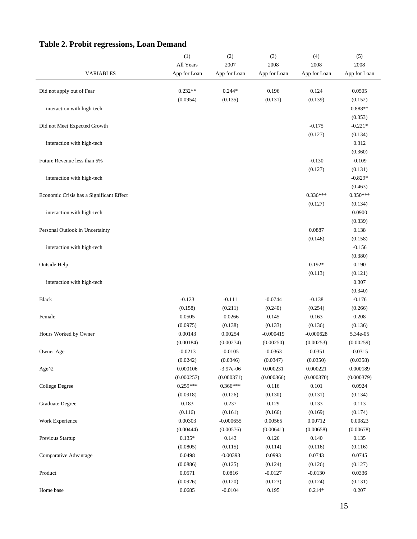|                                          | (1)                  | (2)                     | (3)          | (4)                  | (5)          |
|------------------------------------------|----------------------|-------------------------|--------------|----------------------|--------------|
|                                          | All Years            | 2007                    | 2008         | 2008                 | 2008         |
| <b>VARIABLES</b>                         | App for Loan         | App for Loan            | App for Loan | App for Loan         | App for Loan |
|                                          |                      |                         |              |                      |              |
| Did not apply out of Fear                | $0.232**$            | $0.244*$                | 0.196        | 0.124                | 0.0505       |
|                                          | (0.0954)             | (0.135)                 | (0.131)      | (0.139)              | (0.152)      |
| interaction with high-tech               |                      |                         |              |                      | $0.888**$    |
|                                          |                      |                         |              |                      | (0.353)      |
| Did not Meet Expected Growth             |                      |                         |              | $-0.175$             | $-0.221*$    |
|                                          |                      |                         |              | (0.127)              | (0.134)      |
| interaction with high-tech               |                      |                         |              |                      | 0.312        |
|                                          |                      |                         |              |                      | (0.360)      |
| Future Revenue less than 5%              |                      |                         |              | $-0.130$             | $-0.109$     |
|                                          |                      |                         |              | (0.127)              | (0.131)      |
| interaction with high-tech               |                      |                         |              |                      | $-0.829*$    |
|                                          |                      |                         |              |                      | (0.463)      |
| Economic Crisis has a Significant Effect |                      |                         |              | $0.336***$           | $0.350***$   |
|                                          |                      |                         |              | (0.127)              | (0.134)      |
| interaction with high-tech               |                      |                         |              |                      | 0.0900       |
|                                          |                      |                         |              |                      | (0.339)      |
| Personal Outlook in Uncertainty          |                      |                         |              | 0.0887               | 0.138        |
|                                          |                      |                         |              | (0.146)              | (0.158)      |
| interaction with high-tech               |                      |                         |              |                      | $-0.156$     |
|                                          |                      |                         |              |                      | (0.380)      |
| <b>Outside Help</b>                      |                      |                         |              | $0.192*$             | 0.190        |
|                                          |                      |                         |              | (0.113)              | (0.121)      |
| interaction with high-tech               |                      |                         |              |                      | 0.307        |
|                                          |                      |                         |              |                      | (0.340)      |
| <b>Black</b>                             | $-0.123$             | $-0.111$                | $-0.0744$    | $-0.138$             | $-0.176$     |
|                                          | (0.158)              | (0.211)                 | (0.240)      | (0.254)              | (0.266)      |
| Female                                   | 0.0505               | $-0.0266$               | 0.145        | 0.163                | 0.208        |
|                                          | (0.0975)             | (0.138)                 | (0.133)      | (0.136)              | (0.136)      |
| Hours Worked by Owner                    | 0.00143              | 0.00254                 | $-0.000419$  | $-0.000628$          | 5.34e-05     |
|                                          | (0.00184)            | (0.00274)               | (0.00250)    | (0.00253)            | (0.00259)    |
|                                          | $-0.0213$            | $-0.0105$               | $-0.0363$    | $-0.0351$            | $-0.0315$    |
| Owner Age                                |                      |                         |              |                      |              |
|                                          | (0.0242)<br>0.000106 | (0.0346)<br>$-3.97e-06$ | (0.0347)     | (0.0350)<br>0.000221 | (0.0358)     |
| Age^2                                    |                      |                         | 0.000231     |                      | 0.000189     |
|                                          | (0.000257)           | (0.000371)              | (0.000366)   | (0.000370)           | (0.000379)   |
| <b>College Degree</b>                    | $0.259***$           | $0.366***$              | 0.116        | 0.101                | 0.0924       |
|                                          | (0.0918)             | (0.126)                 | (0.130)      | (0.131)              | (0.134)      |
| <b>Graduate Degree</b>                   | 0.183                | 0.237                   | 0.129        | 0.133                | 0.113        |
|                                          | (0.116)              | (0.161)                 | (0.166)      | (0.169)              | (0.174)      |
| Work Experience                          | 0.00303              | $-0.000655$             | 0.00565      | 0.00712              | 0.00823      |
|                                          | (0.00444)            | (0.00576)               | (0.00641)    | (0.00658)            | (0.00678)    |
| Previous Startup                         | $0.135*$             | 0.143                   | 0.126        | 0.140                | 0.135        |
|                                          | (0.0805)             | (0.115)                 | (0.114)      | (0.116)              | (0.116)      |
| Comparative Advantage                    | 0.0498               | $-0.00393$              | 0.0993       | 0.0743               | 0.0745       |
|                                          | (0.0886)             | (0.125)                 | (0.124)      | (0.126)              | (0.127)      |
| Product                                  | 0.0571               | 0.0816                  | $-0.0127$    | $-0.0130$            | 0.0336       |
|                                          | (0.0926)             | (0.120)                 | (0.123)      | (0.124)              | (0.131)      |
| Home base                                | 0.0685               | $-0.0104$               | 0.195        | $0.214*$             | 0.207        |

# **Table 2. Probit regressions, Loan Demand**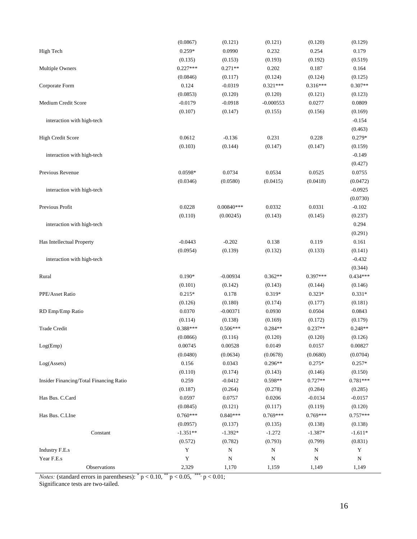|                                         | (0.0867)    | (0.121)      | (0.121)     | (0.120)    | (0.129)    |
|-----------------------------------------|-------------|--------------|-------------|------------|------------|
| High Tech                               | $0.259*$    | 0.0990       | 0.232       | 0.254      | 0.179      |
|                                         | (0.135)     | (0.153)      | (0.193)     | (0.192)    | (0.519)    |
| <b>Multiple Owners</b>                  | $0.227***$  | $0.271**$    | 0.202       | 0.187      | 0.164      |
|                                         | (0.0846)    | (0.117)      | (0.124)     | (0.124)    | (0.125)    |
| Corporate Form                          | 0.124       | $-0.0319$    | $0.321***$  | $0.316***$ | $0.307**$  |
|                                         | (0.0853)    | (0.120)      | (0.120)     | (0.121)    | (0.123)    |
| Medium Credit Score                     | $-0.0179$   | $-0.0918$    | $-0.000553$ | 0.0277     | 0.0809     |
|                                         | (0.107)     | (0.147)      | (0.155)     | (0.156)    | (0.169)    |
| interaction with high-tech              |             |              |             |            | $-0.154$   |
|                                         |             |              |             |            | (0.463)    |
| <b>High Credit Score</b>                | 0.0612      | $-0.136$     | 0.231       | 0.228      | $0.279*$   |
|                                         | (0.103)     | (0.144)      | (0.147)     | (0.147)    | (0.159)    |
| interaction with high-tech              |             |              |             |            | $-0.149$   |
|                                         |             |              |             |            | (0.427)    |
| Previous Revenue                        | 0.0598*     | 0.0734       | 0.0534      | 0.0525     | 0.0755     |
|                                         | (0.0346)    | (0.0580)     | (0.0415)    | (0.0418)   | (0.0472)   |
| interaction with high-tech              |             |              |             |            | $-0.0925$  |
|                                         |             |              |             |            | (0.0730)   |
| Previous Profit                         | 0.0228      | $0.00840***$ | 0.0332      | 0.0331     | $-0.102$   |
|                                         | (0.110)     | (0.00245)    | (0.143)     | (0.145)    | (0.237)    |
| interaction with high-tech              |             |              |             |            | 0.294      |
|                                         |             |              |             |            | (0.291)    |
| Has Intellectual Property               | $-0.0443$   | $-0.202$     | 0.138       | 0.119      | 0.161      |
|                                         | (0.0954)    | (0.139)      | (0.132)     | (0.133)    | (0.141)    |
| interaction with high-tech              |             |              |             |            | $-0.432$   |
|                                         |             |              |             |            | (0.344)    |
| Rural                                   | $0.190*$    | $-0.00934$   | $0.362**$   | $0.397***$ | $0.434***$ |
|                                         | (0.101)     | (0.142)      | (0.143)     | (0.144)    | (0.146)    |
| PPE/Asset Ratio                         | $0.215*$    | 0.178        | 0.319*      | $0.323*$   | $0.331*$   |
|                                         | (0.126)     | (0.180)      | (0.174)     | (0.177)    | (0.181)    |
| RD Emp/Emp Ratio                        | 0.0370      | $-0.00371$   | 0.0930      | 0.0504     | 0.0843     |
|                                         | (0.114)     | (0.138)      | (0.169)     | (0.172)    | (0.179)    |
| <b>Trade Credit</b>                     | $0.388***$  | $0.506***$   | $0.284**$   | $0.237**$  | $0.248**$  |
|                                         | (0.0866)    | (0.116)      | (0.120)     | (0.120)    | (0.126)    |
| Log(Emp)                                | 0.00745     | 0.00528      | 0.0149      | 0.0157     | 0.00827    |
|                                         | (0.0480)    | (0.0634)     | (0.0678)    | (0.0680)   | (0.0704)   |
| Log(A <sub>s</sub> )                    | 0.156       | 0.0343       | $0.296**$   | $0.275*$   | $0.257*$   |
|                                         | (0.110)     | (0.174)      | (0.143)     | (0.146)    | (0.150)    |
| Insider Financing/Total Financing Ratio | 0.259       | $-0.0412$    | $0.598**$   | $0.727**$  | $0.781***$ |
|                                         | (0.187)     | (0.264)      | (0.278)     | (0.284)    | (0.285)    |
| Has Bus. C.Card                         | 0.0597      | 0.0757       | 0.0206      | $-0.0134$  | $-0.0157$  |
|                                         | (0.0845)    | (0.121)      | (0.117)     | (0.119)    | (0.120)    |
| Has Bus. C.LIne                         | $0.760***$  | $0.840***$   | $0.769***$  | $0.769***$ | $0.757***$ |
|                                         | (0.0957)    | (0.137)      | (0.135)     | (0.138)    | (0.138)    |
| Constant                                | $-1.351**$  | $-1.392*$    | $-1.272$    | $-1.387*$  | $-1.611*$  |
|                                         | (0.572)     | (0.782)      | (0.793)     | (0.799)    | (0.831)    |
| Industry F.E.s                          | $\mathbf Y$ | ${\bf N}$    | N           | ${\bf N}$  | Y          |
| Year F.E.s                              | $\mathbf Y$ | ${\bf N}$    | ${\bf N}$   | ${\bf N}$  | ${\bf N}$  |
| Observations                            | 2,329       | 1,170        | 1,159       | 1,149      | 1,149      |
|                                         |             |              |             |            |            |

*Notes:* (standard errors in parentheses):  $p < 0.10$ ,  $p < 0.05$ ,  $p < 0.01$ ;

Significance tests are two-tailed.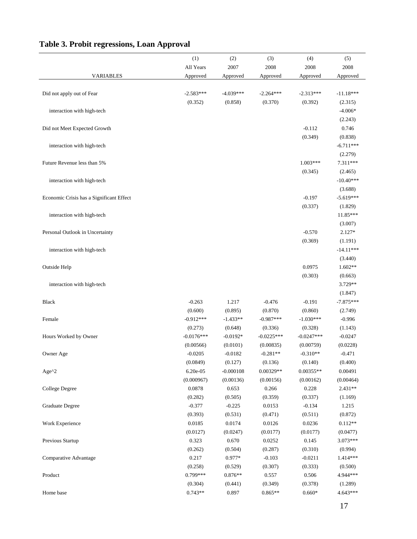|                                          | (1)                  | (2)                  | (3)                  | (4)                               | (5)                  |
|------------------------------------------|----------------------|----------------------|----------------------|-----------------------------------|----------------------|
|                                          | All Years            | 2007                 | 2008                 | 2008                              | 2008                 |
| <b>VARIABLES</b>                         | Approved             | Approved             | Approved             | Approved                          | Approved             |
|                                          |                      |                      |                      |                                   |                      |
| Did not apply out of Fear                | $-2.583***$          | $-4.039***$          | $-2.264***$          | $-2.313***$                       | $-11.18***$          |
|                                          | (0.352)              | (0.858)              | (0.370)              | (0.392)                           | (2.315)              |
| interaction with high-tech               |                      |                      |                      |                                   | $-4.006*$            |
|                                          |                      |                      |                      |                                   | (2.243)              |
| Did not Meet Expected Growth             |                      |                      |                      | $-0.112$                          | 0.746                |
|                                          |                      |                      |                      | (0.349)                           | (0.838)              |
| interaction with high-tech               |                      |                      |                      |                                   | $-6.711***$          |
|                                          |                      |                      |                      |                                   | (2.279)              |
| Future Revenue less than 5%              |                      |                      |                      | $1.003***$                        | 7.311***             |
|                                          |                      |                      |                      | (0.345)                           | (2.465)              |
| interaction with high-tech               |                      |                      |                      |                                   | $-10.40***$          |
|                                          |                      |                      |                      |                                   | (3.688)              |
| Economic Crisis has a Significant Effect |                      |                      |                      | $-0.197$                          | $-5.619***$          |
|                                          |                      |                      |                      | (0.337)                           | (1.829)              |
| interaction with high-tech               |                      |                      |                      |                                   | 11.85***             |
|                                          |                      |                      |                      |                                   | (3.007)              |
| Personal Outlook in Uncertainty          |                      |                      |                      | $-0.570$                          | 2.127*               |
|                                          |                      |                      |                      | (0.369)                           | (1.191)              |
| interaction with high-tech               |                      |                      |                      |                                   | $-14.11***$          |
|                                          |                      |                      |                      |                                   | (3.440)              |
| <b>Outside Help</b>                      |                      |                      |                      | 0.0975                            | $1.602**$            |
|                                          |                      |                      |                      | (0.303)                           | (0.663)              |
| interaction with high-tech               |                      |                      |                      |                                   | 3.729**              |
|                                          |                      |                      |                      |                                   | (1.847)              |
| <b>Black</b>                             | $-0.263$             | 1.217                | $-0.476$             | $-0.191$                          | $-7.875***$          |
|                                          | (0.600)              | (0.895)              | (0.870)              | (0.860)                           | (2.749)              |
| Female                                   | $-0.912***$          | $-1.433**$           | $-0.987***$          | $-1.030***$                       | $-0.996$             |
|                                          | (0.273)              | (0.648)              | (0.336)              | (0.328)                           | (1.143)              |
| Hours Worked by Owner                    | $-0.0176***$         | $-0.0192*$           | $-0.0225***$         | $-0.0247***$                      | $-0.0247$            |
|                                          | (0.00566)            | (0.0101)             | (0.00835)            | (0.00759)                         | (0.0228)             |
| Owner Age                                | $-0.0205$            | $-0.0182$            | $-0.281**$           | $-0.310**$                        | $-0.471$             |
|                                          | (0.0849)             | (0.127)              | (0.136)              | (0.140)                           | (0.400)              |
| Age^2                                    | 6.20e-05             | $-0.000108$          | $0.00329**$          | $0.00355**$                       | 0.00491              |
|                                          | (0.000967)           | (0.00136)            | (0.00156)            | (0.00162)                         | (0.00464)            |
| College Degree                           | 0.0878               | 0.653                | 0.266                | 0.228                             | $2.431**$            |
|                                          | (0.282)              | (0.505)              | (0.359)              | (0.337)                           | (1.169)              |
| <b>Graduate Degree</b>                   | $-0.377$             | $-0.225$             | 0.0153               | $-0.134$                          | 1.215                |
|                                          | (0.393)              | (0.531)              | (0.471)              | (0.511)<br>0.0236                 | (0.872)              |
| Work Experience                          | 0.0185               | 0.0174               | 0.0126               |                                   | $0.112**$            |
|                                          | (0.0127)             | (0.0247)             | (0.0177)             | (0.0177)                          | (0.0477)<br>3.073*** |
| Previous Startup                         | 0.323                | 0.670                | 0.0252               | 0.145                             |                      |
|                                          | (0.262)<br>0.217     | (0.504)<br>$0.977*$  | (0.287)              | (0.310)                           | (0.994)<br>1.414***  |
| Comparative Advantage                    |                      |                      | $-0.103$             | $-0.0211$                         |                      |
|                                          | (0.258)<br>0.799***  | (0.529)<br>$0.876**$ | (0.307)              | (0.333)                           | (0.500)<br>4.944***  |
| Product                                  |                      |                      | 0.557                | 0.506                             |                      |
|                                          | (0.304)<br>$0.743**$ | (0.441)<br>0.897     | (0.349)<br>$0.865**$ | (0.378)<br>$0.660\ensuremath{^*}$ | (1.289)<br>4.643***  |
| Home base                                |                      |                      |                      |                                   |                      |

# **Table 3. Probit regressions, Loan Approval**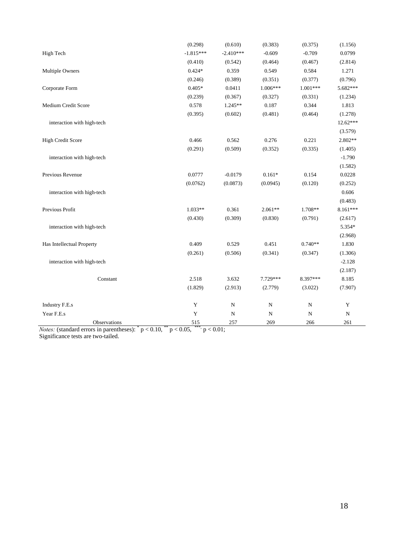|                            | (0.298)     | (0.610)     | (0.383)     | (0.375)     | (1.156)     |
|----------------------------|-------------|-------------|-------------|-------------|-------------|
| High Tech                  | $-1.815***$ | $-2.410***$ | $-0.609$    | $-0.709$    | 0.0799      |
|                            | (0.410)     | (0.542)     | (0.464)     | (0.467)     | (2.814)     |
| Multiple Owners            | $0.424*$    | 0.359       | 0.549       | 0.584       | 1.271       |
|                            | (0.246)     | (0.389)     | (0.351)     | (0.377)     | (0.796)     |
| Corporate Form             | $0.405*$    | 0.0411      | 1.006***    | $1.001***$  | 5.682***    |
|                            | (0.239)     | (0.367)     | (0.327)     | (0.331)     | (1.234)     |
| Medium Credit Score        | 0.578       | 1.245**     | 0.187       | 0.344       | 1.813       |
|                            | (0.395)     | (0.602)     | (0.481)     | (0.464)     | (1.278)     |
| interaction with high-tech |             |             |             |             | $12.62***$  |
|                            |             |             |             |             | (3.579)     |
| <b>High Credit Score</b>   | 0.466       | 0.562       | 0.276       | 0.221       | 2.802**     |
|                            | (0.291)     | (0.509)     | (0.352)     | (0.335)     | (1.405)     |
| interaction with high-tech |             |             |             |             | $-1.790$    |
|                            |             |             |             |             | (1.582)     |
| Previous Revenue           | 0.0777      | $-0.0179$   | $0.161*$    | 0.154       | 0.0228      |
|                            | (0.0762)    | (0.0873)    | (0.0945)    | (0.120)     | (0.252)     |
| interaction with high-tech |             |             |             |             | 0.606       |
|                            |             |             |             |             | (0.483)     |
| Previous Profit            | $1.033**$   | 0.361       | $2.061**$   | 1.708**     | 8.161***    |
|                            | (0.430)     | (0.309)     | (0.830)     | (0.791)     | (2.617)     |
| interaction with high-tech |             |             |             |             | 5.354*      |
|                            |             |             |             |             | (2.968)     |
| Has Intellectual Property  | 0.409       | 0.529       | 0.451       | $0.740**$   | 1.830       |
|                            | (0.261)     | (0.506)     | (0.341)     | (0.347)     | (1.306)     |
| interaction with high-tech |             |             |             |             | $-2.128$    |
|                            |             |             |             |             | (2.187)     |
| Constant                   | 2.518       | 3.632       | 7.729***    | 8.397***    | 8.185       |
|                            | (1.829)     | (2.913)     | (2.779)     | (3.022)     | (7.907)     |
| Industry F.E.s             | Y           | ${\bf N}$   | ${\bf N}$   | ${\bf N}$   | $\mathbf Y$ |
| Year F.E.s                 | Y           | ${\bf N}$   | $\mathbf N$ | $\mathbf N$ | $\mathbf N$ |
| Observations               | 515         | 257         | 269         | 266         | 261         |

*Notes:* (standard errors in parentheses):  $p < 0.10$ ,  $p < 0.05$ ,  $p < 0.01$ ;

Significance tests are two-tailed.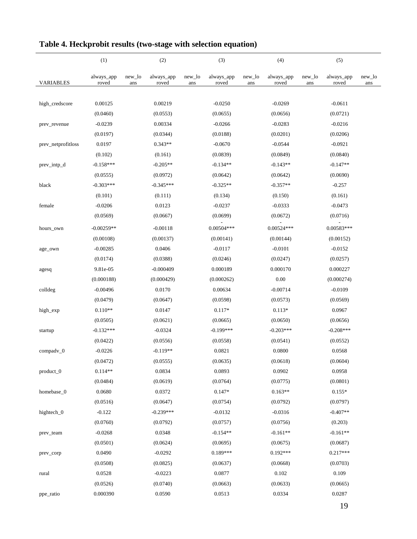|                    | (1)                 |                  | (2)                 |                  | (3)                 |                  | (4)                 |                  | (5)                 |                  |
|--------------------|---------------------|------------------|---------------------|------------------|---------------------|------------------|---------------------|------------------|---------------------|------------------|
| VARIABLES          | always_app<br>roved | $new\_lo$<br>ans | always_app<br>roved | $new\_lo$<br>ans | always_app<br>roved | $new\_lo$<br>ans | always_app<br>roved | $new\_lo$<br>ans | always_app<br>roved | $new\_lo$<br>ans |
|                    |                     |                  |                     |                  |                     |                  |                     |                  |                     |                  |
| high_credscore     | 0.00125             |                  | 0.00219             |                  | $-0.0250$           |                  | $-0.0269$           |                  | $-0.0611$           |                  |
|                    | (0.0460)            |                  | (0.0553)            |                  | (0.0655)            |                  | (0.0656)            |                  | (0.0721)            |                  |
| prev_revenue       | $-0.0239$           |                  | 0.00334             |                  | $-0.0266$           |                  | $-0.0283$           |                  | $-0.0216$           |                  |
|                    | (0.0197)            |                  | (0.0344)            |                  | (0.0188)            |                  | (0.0201)            |                  | (0.0206)            |                  |
| prev_netprofitloss | 0.0197              |                  | $0.343**$           |                  | $-0.0670$           |                  | $-0.0544$           |                  | $-0.0921$           |                  |
|                    | (0.102)             |                  | (0.161)             |                  | (0.0839)            |                  | (0.0849)            |                  | (0.0840)            |                  |
| prev_intp_d        | $-0.158***$         |                  | $-0.205**$          |                  | $-0.134**$          |                  | $-0.143**$          |                  | $-0.147**$          |                  |
|                    | (0.0555)            |                  | (0.0972)            |                  | (0.0642)            |                  | (0.0642)            |                  | (0.0690)            |                  |
| black              | $-0.303***$         |                  | $-0.345***$         |                  | $-0.325**$          |                  | $-0.357**$          |                  | $-0.257$            |                  |
|                    | (0.101)             |                  | (0.111)             |                  | (0.134)             |                  | (0.150)             |                  | (0.161)             |                  |
| female             | $-0.0206$           |                  | 0.0123              |                  | $-0.0237$           |                  | $-0.0333$           |                  | $-0.0473$           |                  |
|                    | (0.0569)            |                  | (0.0667)            |                  | (0.0699)            |                  | (0.0672)            |                  | (0.0716)            |                  |
| hours_own          | $-0.00259**$        |                  | $-0.00118$          |                  | $0.00504***$        |                  | $0.00524***$        |                  | $0.00583***$        |                  |
|                    | (0.00108)           |                  | (0.00137)           |                  | (0.00141)           |                  | (0.00144)           |                  | (0.00152)           |                  |
| age_own            | $-0.00285$          |                  | 0.0406              |                  | $-0.0117$           |                  | $-0.0101$           |                  | $-0.0152$           |                  |
|                    | (0.0174)            |                  | (0.0388)            |                  | (0.0246)            |                  | (0.0247)            |                  | (0.0257)            |                  |
| agesq              | 9.81e-05            |                  | $-0.000409$         |                  | 0.000189            |                  | 0.000170            |                  | 0.000227            |                  |
|                    | (0.000188)          |                  | (0.000429)          |                  | (0.000262)          |                  | 0.00                |                  | (0.000274)          |                  |
| colldeg            | $-0.00496$          |                  | 0.0170              |                  | 0.00634             |                  | $-0.00714$          |                  | $-0.0109$           |                  |
|                    | (0.0479)            |                  | (0.0647)            |                  | (0.0598)            |                  | (0.0573)            |                  | (0.0569)            |                  |
| high_exp           | $0.110**$           |                  | 0.0147              |                  | $0.117*$            |                  | $0.113*$            |                  | 0.0967              |                  |
|                    | (0.0505)            |                  | (0.0621)            |                  | (0.0665)            |                  | (0.0650)            |                  | (0.0656)            |                  |
| startup            | $-0.132***$         |                  | $-0.0324$           |                  | $-0.199***$         |                  | $-0.203***$         |                  | $-0.208***$         |                  |
|                    | (0.0422)            |                  | (0.0556)            |                  | (0.0558)            |                  | (0.0541)            |                  | (0.0552)            |                  |
| $compadv_0$        | $-0.0226$           |                  | $-0.119**$          |                  | 0.0821              |                  | 0.0800              |                  | 0.0568              |                  |
|                    | (0.0472)            |                  | (0.0555)            |                  | (0.0635)            |                  | (0.0618)            |                  | (0.0604)            |                  |
| product_0          | $0.114**$           |                  | 0.0834              |                  | 0.0893              |                  | 0.0902              |                  | 0.0958              |                  |
|                    | (0.0484)            |                  | (0.0619)            |                  | (0.0764)            |                  | (0.0775)            |                  | (0.0801)            |                  |
| homebase_0         | 0.0680              |                  | 0.0372              |                  | $0.147*$            |                  | $0.163**$           |                  | $0.155*$            |                  |
|                    | (0.0516)            |                  | (0.0647)            |                  | (0.0754)            |                  | (0.0792)            |                  | (0.0797)            |                  |
| hightech_0         | $-0.122$            |                  | $-0.239***$         |                  | $-0.0132$           |                  | $-0.0316$           |                  | $-0.407**$          |                  |
|                    | (0.0760)            |                  | (0.0792)            |                  | (0.0757)            |                  | (0.0756)            |                  | (0.203)             |                  |
| prev_team          | $-0.0268$           |                  | 0.0348              |                  | $-0.154**$          |                  | $-0.161**$          |                  | $-0.161**$          |                  |
|                    | (0.0501)            |                  | (0.0624)            |                  | (0.0695)            |                  | (0.0675)            |                  | (0.0687)            |                  |
| prev_corp          | 0.0490              |                  | $-0.0292$           |                  | $0.189***$          |                  | $0.192***$          |                  | $0.217***$          |                  |
|                    | (0.0508)            |                  | (0.0825)            |                  | (0.0637)            |                  | (0.0668)            |                  | (0.0703)            |                  |
| rural              | 0.0528              |                  | $-0.0223$           |                  | 0.0877              |                  | 0.102               |                  | 0.109               |                  |
|                    | (0.0526)            |                  | (0.0740)            |                  | (0.0663)            |                  | (0.0633)            |                  | (0.0665)            |                  |
| ppe_ratio          | 0.000390            |                  | 0.0590              |                  | 0.0513              |                  | 0.0334              |                  | 0.0287              |                  |

# **Table 4. Heckprobit results (two-stage with selection equation)**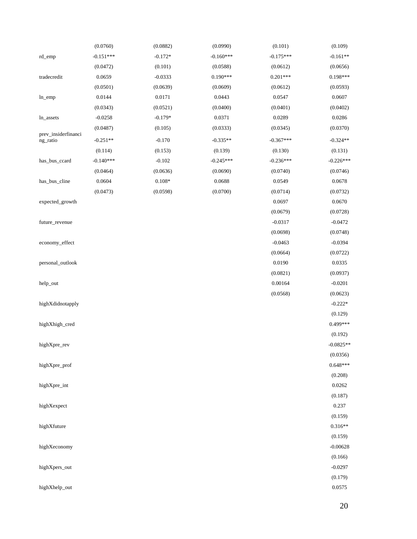|                                 | (0.0760)    | (0.0882)               | (0.0990)    | (0.101)     | (0.109)     |
|---------------------------------|-------------|------------------------|-------------|-------------|-------------|
| rd_emp                          | $-0.151***$ | $-0.172*$              | $-0.160***$ | $-0.175***$ | $-0.161**$  |
|                                 | (0.0472)    | (0.101)                | (0.0588)    | (0.0612)    | (0.0656)    |
| tradecredit                     | 0.0659      | $-0.0333$              | $0.190***$  | $0.201***$  | $0.198***$  |
|                                 | (0.0501)    | (0.0639)               | (0.0609)    | (0.0612)    | (0.0593)    |
| $ln$ _emp                       | 0.0144      | 0.0171                 | 0.0443      | 0.0547      | 0.0607      |
|                                 | (0.0343)    | (0.0521)               | (0.0400)    | (0.0401)    | (0.0402)    |
| ln_assets                       | $-0.0258$   | $-0.179*$              | 0.0371      | 0.0289      | 0.0286      |
|                                 | (0.0487)    | (0.105)                | (0.0333)    | (0.0345)    | (0.0370)    |
| prev_insiderfinanci<br>ng_ratio | $-0.251**$  | $-0.170$               | $-0.335**$  | $-0.367***$ | $-0.324**$  |
|                                 | (0.114)     | (0.153)                | (0.139)     | (0.130)     | (0.131)     |
| has_bus_ccard                   | $-0.140***$ | $-0.102$               | $-0.245***$ | $-0.236***$ | $-0.226***$ |
|                                 | (0.0464)    | (0.0636)               | (0.0690)    | (0.0740)    | (0.0746)    |
| has_bus_cline                   | 0.0604      | $0.108\ensuremath{^*}$ | 0.0688      | 0.0549      | 0.0678      |
|                                 | (0.0473)    | (0.0598)               | (0.0700)    | (0.0714)    | (0.0732)    |
| expected_growth                 |             |                        |             | 0.0697      | 0.0670      |
|                                 |             |                        |             | (0.0679)    | (0.0728)    |
| future_revenue                  |             |                        |             | $-0.0317$   | $-0.0472$   |
|                                 |             |                        |             | (0.0698)    | (0.0748)    |
| economy_effect                  |             |                        |             | $-0.0463$   | $-0.0394$   |
|                                 |             |                        |             | (0.0664)    | (0.0722)    |
| personal_outlook                |             |                        |             | 0.0190      | 0.0335      |
|                                 |             |                        |             | (0.0821)    | (0.0937)    |
| help_out                        |             |                        |             | 0.00164     | $-0.0201$   |
|                                 |             |                        |             | (0.0568)    | (0.0623)    |
| highXdidnotapply                |             |                        |             |             | $-0.222*$   |
|                                 |             |                        |             |             | (0.129)     |
| highXhigh_cred                  |             |                        |             |             | $0.499***$  |
|                                 |             |                        |             |             | (0.192)     |
| highXpre_rev                    |             |                        |             |             | $-0.0825**$ |
|                                 |             |                        |             |             | (0.0356)    |
| highXpre_prof                   |             |                        |             |             | $0.648***$  |
|                                 |             |                        |             |             | (0.208)     |
| highXpre_int                    |             |                        |             |             | 0.0262      |
|                                 |             |                        |             |             | (0.187)     |
| highXexpect                     |             |                        |             |             | 0.237       |
|                                 |             |                        |             |             | (0.159)     |
| highXfuture                     |             |                        |             |             | $0.316**$   |
|                                 |             |                        |             |             | (0.159)     |
| highXeconomy                    |             |                        |             |             | $-0.00628$  |
|                                 |             |                        |             |             | (0.166)     |
| highXpers_out                   |             |                        |             |             | $-0.0297$   |
|                                 |             |                        |             |             | (0.179)     |
| highXhelp_out                   |             |                        |             |             | 0.0575      |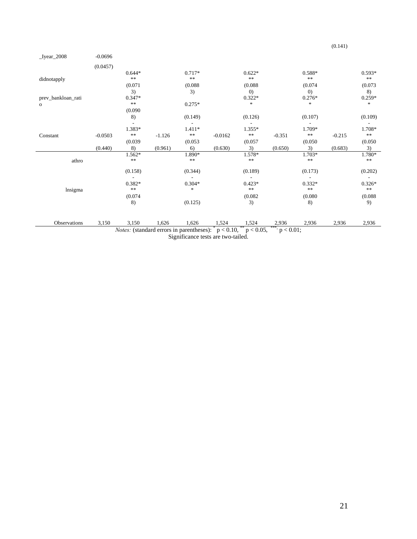|                    |           |                       |          |                           |           |                      |          |                        | (0.141)  |                        |
|--------------------|-----------|-----------------------|----------|---------------------------|-----------|----------------------|----------|------------------------|----------|------------------------|
| $Iyear_2008$       | $-0.0696$ |                       |          |                           |           |                      |          |                        |          |                        |
|                    | (0.0457)  |                       |          |                           |           |                      |          |                        |          |                        |
|                    |           | $0.644*$<br>$\gg \gg$ |          | $0.717*$                  |           | $0.622*$<br>$\gg k$  |          | 0.588*                 |          | $0.593*$               |
| didnotapply        |           |                       |          | $\ast$                    |           |                      |          | $\ast$                 |          | $\ast\ast$             |
|                    |           | (0.071)               |          | (0.088)                   |           | (0.088)              |          | (0.074)                |          | (0.073)                |
|                    |           | 3)                    |          | 3)                        |           | (0)                  |          | (0)                    |          | 8)                     |
| prev_bankloan_rati |           | 0.347*<br>$\ast$      |          |                           |           | $0.322*$<br>$\ast$   |          | $0.276*$<br>$\ast$     |          | $0.259*$<br>$\ast$     |
| $\mathbf{o}$       |           |                       |          | $0.275*$                  |           |                      |          |                        |          |                        |
|                    |           | (0.090)               |          |                           |           |                      |          |                        |          |                        |
|                    |           | 8)                    |          | (0.149)                   |           | (0.126)              |          | (0.107)                |          | (0.109)                |
|                    |           |                       |          |                           |           |                      |          |                        |          |                        |
|                    |           | 1.383*<br>$\ast\ast$  |          | $1.411*$<br>$\ast$        |           | 1.355*<br>$\ast\ast$ |          | 1.709*<br>$\ast$       |          | 1.708*<br>$\ast$       |
| Constant           | $-0.0503$ |                       | $-1.126$ |                           | $-0.0162$ |                      | $-0.351$ |                        | $-0.215$ |                        |
|                    | (0.440)   | (0.039)<br>8)         | (0.961)  | (0.053)<br>6)             | (0.630)   | (0.057)<br>3)        | (0.650)  | (0.050)<br>3)          | (0.683)  | (0.050)<br>3)          |
|                    |           | 1.562*                |          | 1.890*                    |           | 1.578*               |          | 1.703*                 |          | 1.780*                 |
| athro              |           | $\ast$                |          | $\ast$                    |           | **                   |          | $\ast$                 |          | $\ast\ast$             |
|                    |           | (0.158)               |          | (0.344)                   |           | (0.189)              |          | (0.173)                |          | (0.202)                |
|                    |           |                       |          |                           |           |                      |          |                        |          |                        |
| Insigma            |           | 0.382*<br>$\ast\ast$  |          | $0.304*$<br>$\frac{1}{2}$ |           | $0.423*$<br>$\ast$   |          | $0.332*$<br>$\ast\ast$ |          | $0.326*$<br>$\ast\ast$ |
|                    |           | (0.074)               |          |                           |           | (0.082)              |          | (0.080)                |          | (0.088)                |
|                    |           | 8)                    |          | (0.125)                   |           | 3)                   |          | 8)                     |          | 9)                     |
| Observations       | 3,150     | 3,150                 | 1,626    | 1,626                     | 1,524     | 1,524                | 2,936    | 2,936                  | 2,936    | 2,936                  |

Significance tests are two-tailed.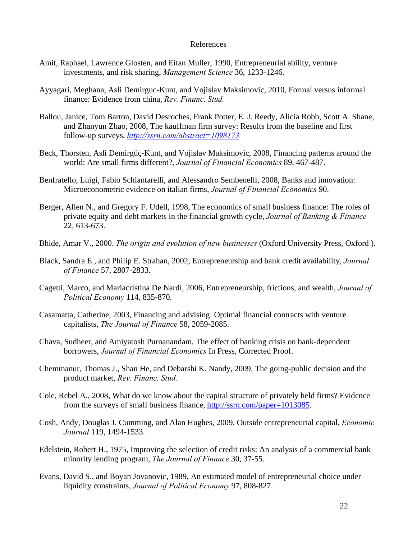## References

- Amit, Raphael, Lawrence Glosten, and Eitan Muller, 1990, Entrepreneurial ability, venture investments, and risk sharing, *Management Science* 36, 1233-1246.
- Ayyagari, Meghana, Asli Demirguc-Kunt, and Vojislav Maksimovic, 2010, Formal versus informal finance: Evidence from china, *Rev. Financ. Stud.*
- Ballou, Janice, Tom Barton, David Desroches, Frank Potter, E. J. Reedy, Alicia Robb, Scott A. Shane, and Zhanyun Zhao, 2008, The kauffman firm survey: Results from the baseline and first follow-up surveys, *<http://ssrn.com/abstract=1098173>*
- Beck, Thorsten, Asli Demirgüç-Kunt, and Vojislav Maksimovic, 2008, Financing patterns around the world: Are small firms different?, *Journal of Financial Economics* 89, 467-487.
- Benfratello, Luigi, Fabio Schiantarelli, and Alessandro Sembenelli, 2008, Banks and innovation: Microeconometric evidence on italian firms, *Journal of Financial Economics* 90.
- Berger, Allen N., and Gregory F. Udell, 1998, The economics of small business finance: The roles of private equity and debt markets in the financial growth cycle, *Journal of Banking & Finance* 22, 613-673.
- Bhide, Amar V., 2000. *The origin and evolution of new businesses* (Oxford University Press, Oxford ).
- Black, Sandra E., and Philip E. Strahan, 2002, Entrepreneurship and bank credit availability, *Journal of Finance* 57, 2807-2833.
- Cagetti, Marco, and Mariacristina De Nardi, 2006, Entrepreneurship, frictions, and wealth, *Journal of Political Economy* 114, 835-870.
- Casamatta, Catherine, 2003, Financing and advising: Optimal financial contracts with venture capitalists, *The Journal of Finance* 58, 2059-2085.
- Chava, Sudheer, and Amiyatosh Purnanandam, The effect of banking crisis on bank-dependent borrowers, *Journal of Financial Economics* In Press, Corrected Proof.
- Chemmanur, Thomas J., Shan He, and Debarshi K. Nandy, 2009, The going-public decision and the product market, *Rev. Financ. Stud.*
- Cole, Rebel A., 2008, What do we know about the capital structure of privately held firms? Evidence from the surveys of small business finance, [http://ssrn.com/paper=1013085.](http://ssrn.com/paper=1013085)
- Cosh, Andy, Douglas J. Cumming, and Alan Hughes, 2009, Outside entrepreneurial capital, *Economic Journal* 119, 1494-1533.
- Edelstein, Robert H., 1975, Improving the selection of credit risks: An analysis of a commercial bank minority lending program, *The Journal of Finance* 30, 37-55.
- Evans, David S., and Boyan Jovanovic, 1989, An estimated model of entrepreneurial choice under liquidity constraints, *Journal of Political Economy* 97, 808-827.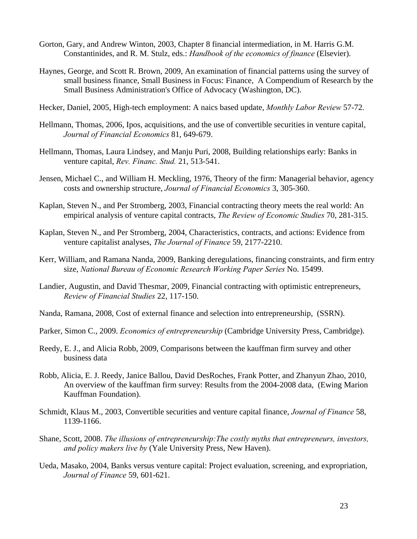- Gorton, Gary, and Andrew Winton, 2003, Chapter 8 financial intermediation, in M. Harris G.M. Constantinides, and R. M. Stulz, eds.: *Handbook of the economics of finance* (Elsevier).
- Haynes, George, and Scott R. Brown, 2009, An examination of financial patterns using the survey of small business finance, Small Business in Focus: Finance, A Compendium of Research by the Small Business Administration's Office of Advocacy (Washington, DC).
- Hecker, Daniel, 2005, High-tech employment: A naics based update, *Monthly Labor Review* 57-72.
- Hellmann, Thomas, 2006, Ipos, acquisitions, and the use of convertible securities in venture capital, *Journal of Financial Economics* 81, 649-679.
- Hellmann, Thomas, Laura Lindsey, and Manju Puri, 2008, Building relationships early: Banks in venture capital, *Rev. Financ. Stud.* 21, 513-541.
- Jensen, Michael C., and William H. Meckling, 1976, Theory of the firm: Managerial behavior, agency costs and ownership structure, *Journal of Financial Economics* 3, 305-360.
- Kaplan, Steven N., and Per Stromberg, 2003, Financial contracting theory meets the real world: An empirical analysis of venture capital contracts, *The Review of Economic Studies* 70, 281-315.
- Kaplan, Steven N., and Per Stromberg, 2004, Characteristics, contracts, and actions: Evidence from venture capitalist analyses, *The Journal of Finance* 59, 2177-2210.
- Kerr, William, and Ramana Nanda, 2009, Banking deregulations, financing constraints, and firm entry size, *National Bureau of Economic Research Working Paper Series* No. 15499.
- Landier, Augustin, and David Thesmar, 2009, Financial contracting with optimistic entrepreneurs, *Review of Financial Studies* 22, 117-150.
- Nanda, Ramana, 2008, Cost of external finance and selection into entrepreneurship, (SSRN).
- Parker, Simon C., 2009. *Economics of entrepreneurship* (Cambridge University Press, Cambridge).
- Reedy, E. J., and Alicia Robb, 2009, Comparisons between the kauffman firm survey and other business data
- Robb, Alicia, E. J. Reedy, Janice Ballou, David DesRoches, Frank Potter, and Zhanyun Zhao, 2010, An overview of the kauffman firm survey: Results from the 2004-2008 data, (Ewing Marion Kauffman Foundation).
- Schmidt, Klaus M., 2003, Convertible securities and venture capital finance, *Journal of Finance* 58, 1139-1166.
- Shane, Scott, 2008. *The illusions of entrepreneurship:The costly myths that entrepreneurs, investors, and policy makers live by* (Yale University Press, New Haven).
- Ueda, Masako, 2004, Banks versus venture capital: Project evaluation, screening, and expropriation, *Journal of Finance* 59, 601-621.